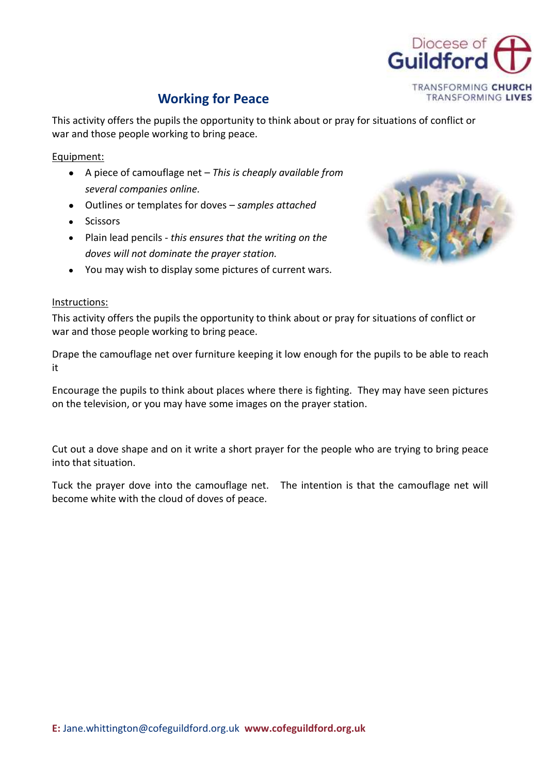## **Working for Peace**

This activity offers the pupils the opportunity to think about or pray for situations of conflict or war and those people working to bring peace.

Equipment:

- A piece of camouflage net *This is cheaply available from several companies online.*
- Outlines or templates for doves *samples attached*
- Scissors
- Plain lead pencils *this ensures that the writing on the doves will not dominate the prayer station.*
- You may wish to display some pictures of current wars.

## Instructions:

This activity offers the pupils the opportunity to think about or pray for situations of conflict or war and those people working to bring peace.

Drape the camouflage net over furniture keeping it low enough for the pupils to be able to reach it

Encourage the pupils to think about places where there is fighting. They may have seen pictures on the television, or you may have some images on the prayer station.

Cut out a dove shape and on it write a short prayer for the people who are trying to bring peace into that situation.

Tuck the prayer dove into the camouflage net. The intention is that the camouflage net will become white with the cloud of doves of peace.





**TRANSFORMING LIVES**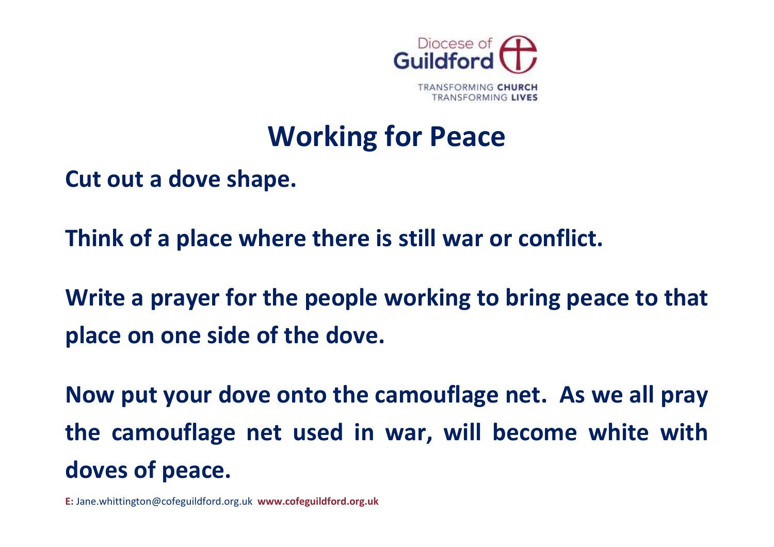

## **Working for Peace**

**Cut out a dove shape.**

**Think of a place where there is still war or conflict.** 

**Write a prayer for the people working to bring peace to that place on one side of the dove.**

**Now put your dove onto the camouflage net. As we all pray the camouflage net used in war, will become white with doves of peace.** 

**E:** Jane.whittington@cofeguildford.org.uk **www.cofeguildford.org.uk**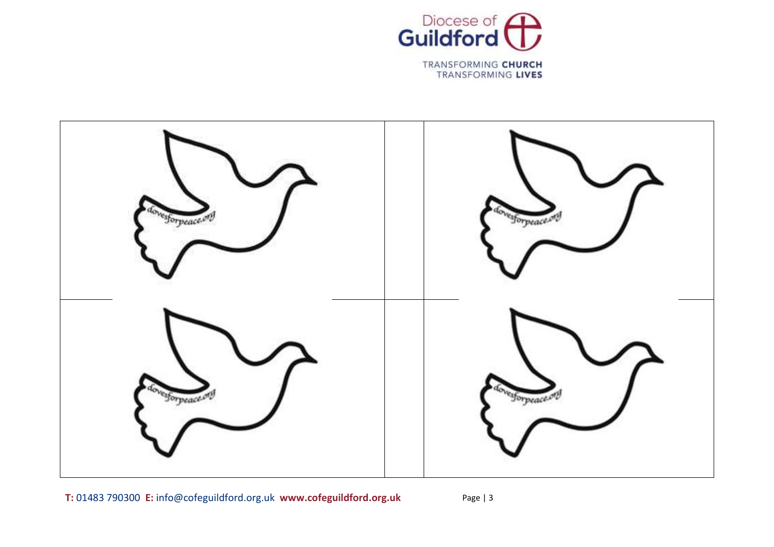



**T:** 01483 790300 **E:** info@cofeguildford.org.uk **www.cofeguildford.org.uk** Page | 3